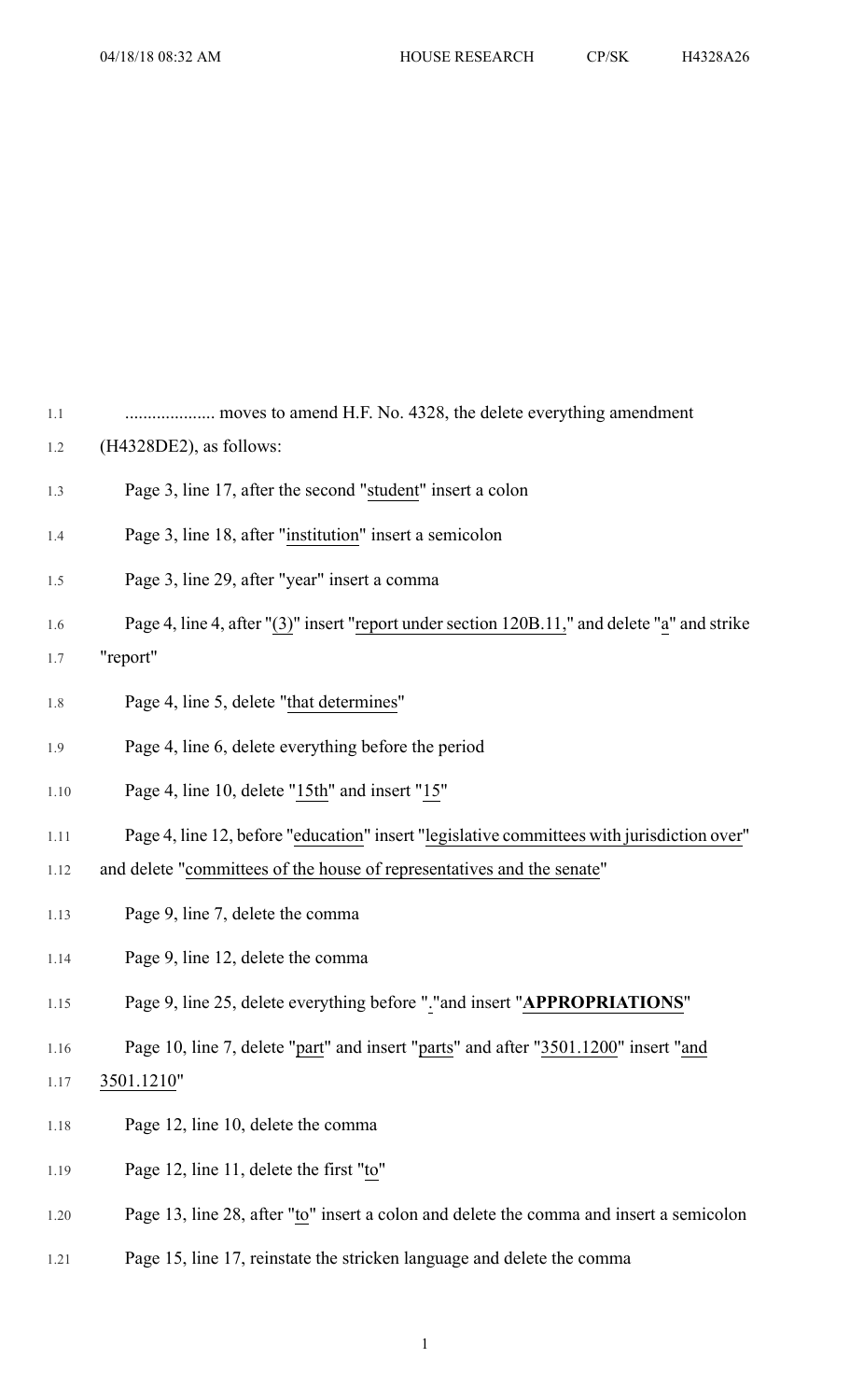| 1.1  |                                                                                              |
|------|----------------------------------------------------------------------------------------------|
| 1.2  | $(H4328DE2)$ , as follows:                                                                   |
| 1.3  | Page 3, line 17, after the second "student" insert a colon                                   |
| 1.4  | Page 3, line 18, after "institution" insert a semicolon                                      |
| 1.5  | Page 3, line 29, after "year" insert a comma                                                 |
| 1.6  | Page 4, line 4, after "(3)" insert "report under section 120B.11," and delete "a" and strike |
| 1.7  | "report"                                                                                     |
| 1.8  | Page 4, line 5, delete "that determines"                                                     |
| 1.9  | Page 4, line 6, delete everything before the period                                          |
| 1.10 | Page 4, line 10, delete "15th" and insert "15"                                               |
| 1.11 | Page 4, line 12, before "education" insert "legislative committees with jurisdiction over"   |
| 1.12 | and delete "committees of the house of representatives and the senate"                       |
| 1.13 | Page 9, line 7, delete the comma                                                             |
| 1.14 | Page 9, line 12, delete the comma                                                            |
| 1.15 | Page 9, line 25, delete everything before "."and insert "APPROPRIATIONS"                     |
| 1.16 | Page 10, line 7, delete "part" and insert "parts" and after "3501.1200" insert "and          |
| 1.17 | 3501.1210"                                                                                   |
| 1.18 | Page 12, line 10, delete the comma                                                           |
| 1.19 | Page 12, line 11, delete the first "to"                                                      |
| 1.20 | Page 13, line 28, after "to" insert a colon and delete the comma and insert a semicolon      |

1.21 Page 15, line 17, reinstate the stricken language and delete the comma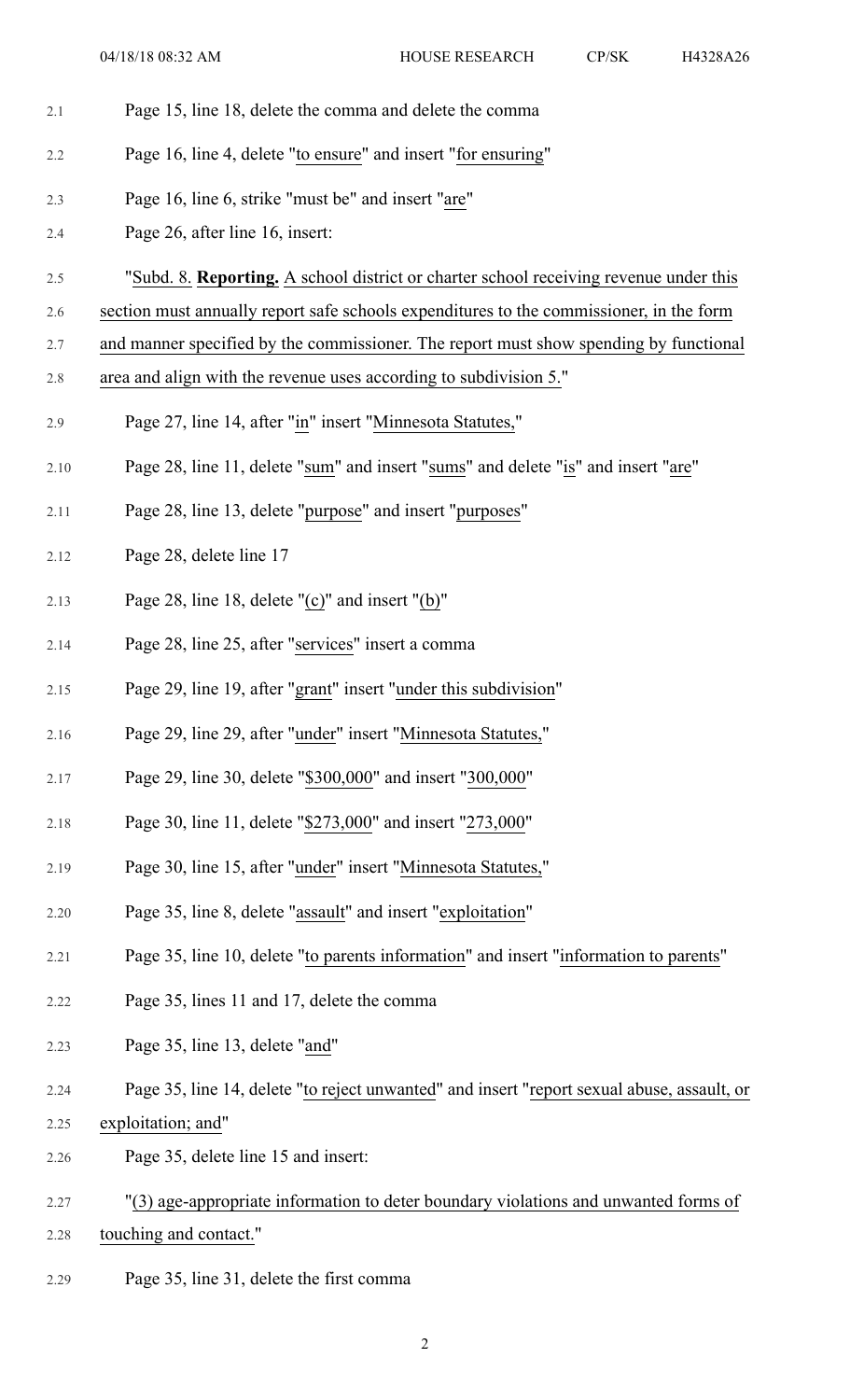| 2.1  | Page 15, line 18, delete the comma and delete the comma                                    |
|------|--------------------------------------------------------------------------------------------|
| 2.2  | Page 16, line 4, delete "to ensure" and insert "for ensuring"                              |
| 2.3  | Page 16, line 6, strike "must be" and insert "are"                                         |
| 2.4  | Page 26, after line 16, insert:                                                            |
| 2.5  | "Subd. 8. Reporting. A school district or charter school receiving revenue under this      |
| 2.6  | section must annually report safe schools expenditures to the commissioner, in the form    |
| 2.7  | and manner specified by the commissioner. The report must show spending by functional      |
| 2.8  | area and align with the revenue uses according to subdivision 5."                          |
| 2.9  | Page 27, line 14, after "in" insert "Minnesota Statutes,"                                  |
| 2.10 | Page 28, line 11, delete "sum" and insert "sums" and delete "is" and insert "are"          |
| 2.11 | Page 28, line 13, delete "purpose" and insert "purposes"                                   |
| 2.12 | Page 28, delete line 17                                                                    |
| 2.13 | Page 28, line 18, delete " $(c)$ " and insert " $(b)$ "                                    |
| 2.14 | Page 28, line 25, after "services" insert a comma                                          |
| 2.15 | Page 29, line 19, after "grant" insert "under this subdivision"                            |
| 2.16 | Page 29, line 29, after "under" insert "Minnesota Statutes,"                               |
| 2.17 | Page 29, line 30, delete "\$300,000" and insert "300,000"                                  |
| 2.18 | Page 30, line 11, delete "\$273,000" and insert "273,000"                                  |
| 2.19 | Page 30, line 15, after "under" insert "Minnesota Statutes,"                               |
| 2.20 | Page 35, line 8, delete "assault" and insert "exploitation"                                |
| 2.21 | Page 35, line 10, delete "to parents information" and insert "information to parents"      |
| 2.22 | Page 35, lines 11 and 17, delete the comma                                                 |
| 2.23 | Page 35, line 13, delete "and"                                                             |
| 2.24 | Page 35, line 14, delete "to reject unwanted" and insert "report sexual abuse, assault, or |
| 2.25 | exploitation; and"                                                                         |
| 2.26 | Page 35, delete line 15 and insert:                                                        |
| 2.27 | "(3) age-appropriate information to deter boundary violations and unwanted forms of        |
| 2.28 | touching and contact."                                                                     |

2.29 Page 35, line 31, delete the first comma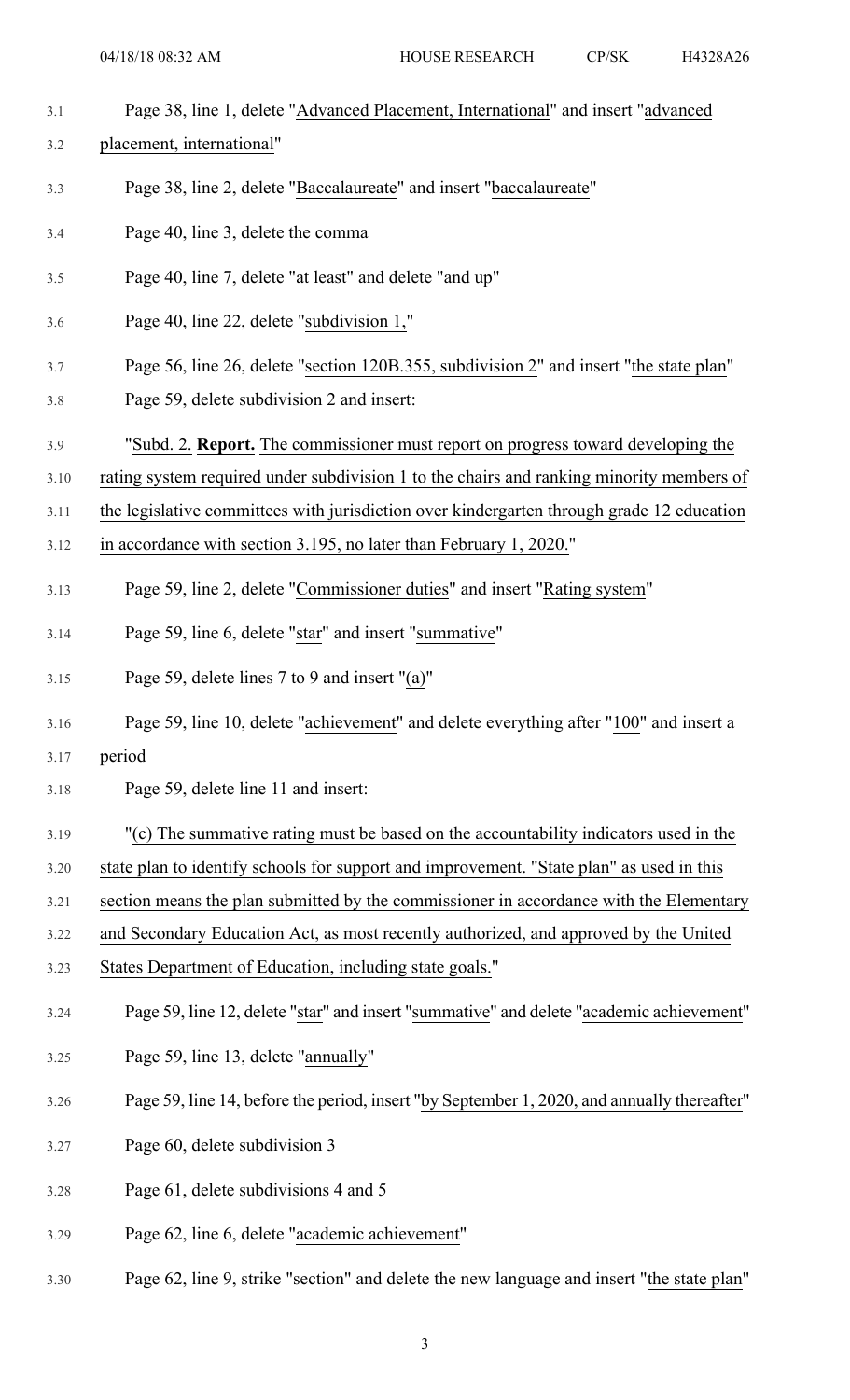- 3.1 Page 38, line 1, delete "Advanced Placement, International" and insert "advanced
- 3.2 placement, international"
- 3.3 Page 38, line 2, delete "Baccalaureate" and insert "baccalaureate"
- 3.4 Page 40, line 3, delete the comma
- 3.5 Page 40, line 7, delete "at least" and delete "and up"
- 3.6 Page 40, line 22, delete "subdivision 1,"
- 3.7 Page 56, line 26, delete "section 120B.355, subdivision 2" and insert "the state plan"
- 3.8 Page 59, delete subdivision 2 and insert:
- 3.9 "Subd. 2. **Report.** The commissioner must report on progress toward developing the
- 3.10 rating system required under subdivision 1 to the chairs and ranking minority members of
- 3.11 the legislative committees with jurisdiction over kindergarten through grade 12 education
- 3.12 in accordance with section 3.195, no later than February 1, 2020."
- 3.13 Page 59, line 2, delete "Commissioner duties" and insert "Rating system"
- 3.14 Page 59, line 6, delete "star" and insert "summative"
- 3.15 Page 59, delete lines 7 to 9 and insert "(a)"
- 3.16 Page 59, line 10, delete "achievement" and delete everything after "100" and insert a
- 3.17 period
- 3.18 Page 59, delete line 11 and insert:
- 3.19 "(c) The summative rating must be based on the accountability indicators used in the
- 3.20 state plan to identify schools for support and improvement. "State plan" as used in this
- 3.21 section means the plan submitted by the commissioner in accordance with the Elementary
- 3.22 and Secondary Education Act, as most recently authorized, and approved by the United
- 3.23 States Department of Education, including state goals."
- 3.24 Page 59, line 12, delete "star" and insert "summative" and delete "academic achievement"
- 3.25 Page 59, line 13, delete "annually"
- 3.26 Page 59, line 14, before the period, insert "by September 1, 2020, and annually thereafter"
- 3.27 Page 60, delete subdivision 3
- 3.28 Page 61, delete subdivisions 4 and 5
- 3.29 Page 62, line 6, delete "academic achievement"
- 3.30 Page 62, line 9, strike "section" and delete the new language and insert "the state plan"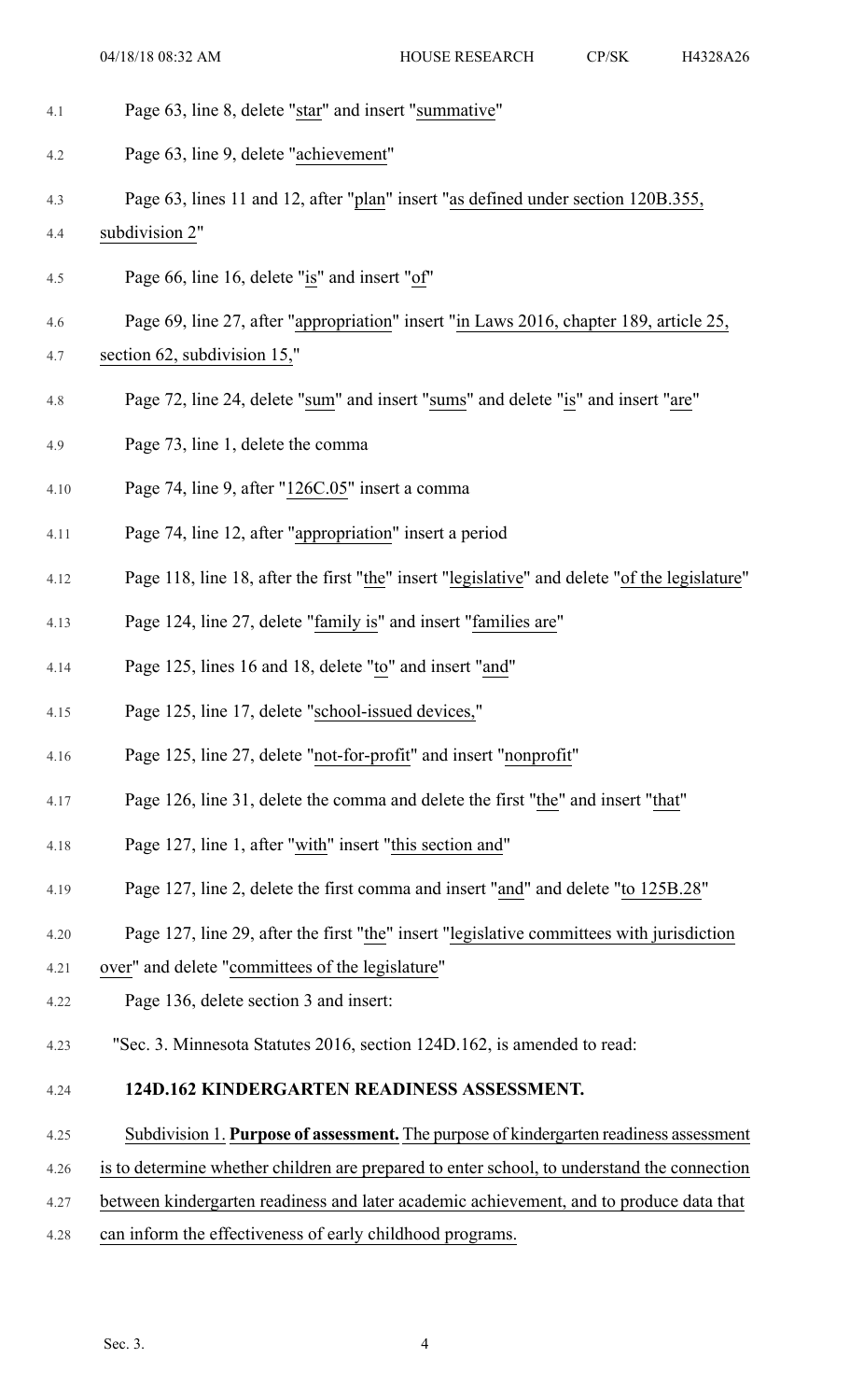- 4.1 Page 63, line 8, delete "star" and insert "summative"
- 4.2 Page 63, line 9, delete "achievement"
- 4.3 Page 63, lines 11 and 12, after "plan" insert "as defined under section 120B.355,
- 4.4 subdivision 2"
- 4.5 Page 66, line 16, delete "is" and insert "of"
- 4.6 Page 69, line 27, after "appropriation" insert "in Laws 2016, chapter 189, article 25,
- 4.7 section 62, subdivision 15,"
- 4.8 Page 72, line 24, delete "sum" and insert "sums" and delete "is" and insert "are"
- 4.9 Page 73, line 1, delete the comma
- 4.10 Page 74, line 9, after "126C.05" insert a comma
- 4.11 Page 74, line 12, after "appropriation" insert a period
- 4.12 Page 118, line 18, after the first "the" insert "legislative" and delete "of the legislature"
- 4.13 Page 124, line 27, delete "family is" and insert "families are"
- 4.14 Page 125, lines 16 and 18, delete "to" and insert "and"
- 4.15 Page 125, line 17, delete "school-issued devices,"
- 4.16 Page 125, line 27, delete "not-for-profit" and insert "nonprofit"
- 4.17 Page 126, line 31, delete the comma and delete the first "the" and insert "that"
- 4.18 Page 127, line 1, after "with" insert "this section and"
- 4.19 Page 127, line 2, delete the first comma and insert "and" and delete "to 125B.28"
- 4.20 Page 127, line 29, after the first "the" insert "legislative committees with jurisdiction
- 4.21 over" and delete "committees of the legislature"
- 4.22 Page 136, delete section 3 and insert:
- 4.23 "Sec. 3. Minnesota Statutes 2016, section 124D.162, is amended to read:
- 4.24 **124D.162 KINDERGARTEN READINESS ASSESSMENT.**
- 4.25 Subdivision 1. **Purpose of assessment.** The purpose of kindergarten readiness assessment
- 4.26 is to determine whether children are prepared to enter school, to understand the connection
- 4.27 between kindergarten readiness and later academic achievement, and to produce data that
- 4.28 can inform the effectiveness of early childhood programs.